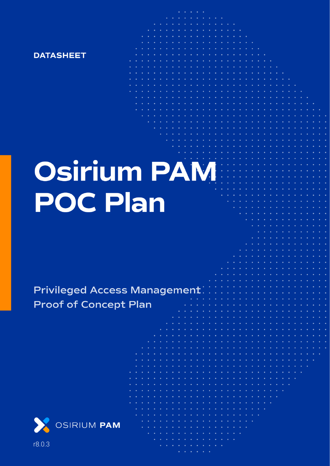

# **Osirium PAM POC Plan**

**Privileged Access Management Proof of Concept Plan** 



r8.0.3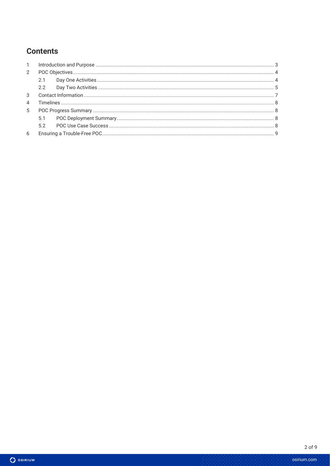## **Contents**

| $\mathbf{1}$   |     |  |  |
|----------------|-----|--|--|
| 2              |     |  |  |
|                | 2.1 |  |  |
|                |     |  |  |
| $\mathcal{S}$  |     |  |  |
| $\overline{4}$ |     |  |  |
| 5              |     |  |  |
|                | 5.1 |  |  |
|                |     |  |  |
| 6              |     |  |  |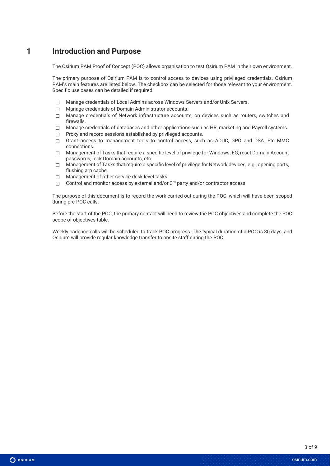#### **1 Introduction and Purpose**

The Osirium PAM Proof of Concept (POC) allows organisation to test Osirium PAM in their own environment.

The primary purpose of Osirium PAM is to control access to devices using privileged credentials. Osirium PAM's main features are listed below. The checkbox can be selected for those relevant to your environment. Specific use cases can be detailed if required.

- ☐ Manage credentials of Local Admins across Windows Servers and/or Unix Servers.
- ☐ Manage credentials of Domain Administrator accounts.
- ☐ Manage credentials of Network infrastructure accounts, on devices such as routers, switches and firewalls.
- $\Box$  Manage credentials of databases and other applications such as HR, marketing and Payroll systems.
- □ Proxy and record sessions established by privileged accounts.
- ☐ Grant access to management tools to control access, such as ADUC, GPO and DSA. Etc MMC connections.
- ☐ Management of Tasks that require a specific level of privilege for Windows, EG, reset Domain Account passwords, lock Domain accounts, etc.
- $\Box$  Management of Tasks that require a specific level of privilege for Network devices, e.g., opening ports, flushing arp cache.
- ☐ Management of other service desk level tasks.
- $□$  Control and monitor access by external and/or  $3<sup>rd</sup>$  party and/or contractor access.

The purpose of this document is to record the work carried out during the POC, which will have been scoped during pre-POC calls.

Before the start of the POC, the primary contact will need to review the POC objectives and complete the POC scope of objectives table.

Weekly cadence calls will be scheduled to track POC progress. The typical duration of a POC is 30 days, and Osirium will provide regular knowledge transfer to onsite staff during the POC.

O OSIRIUM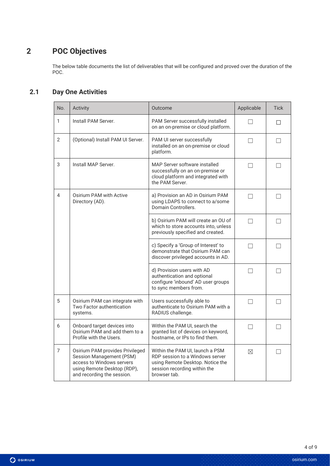# **2 POC Objectives**

The below table documents the list of deliverables that will be configured and proved over the duration of the POC.

#### **2.1 Day One Activities**

| No.            | Activity                                                                                                                                              | Outcome                                                                                                                                                | Applicable        | <b>Tick</b> |
|----------------|-------------------------------------------------------------------------------------------------------------------------------------------------------|--------------------------------------------------------------------------------------------------------------------------------------------------------|-------------------|-------------|
| 1              | Install PAM Server.                                                                                                                                   | PAM Server successfully installed<br>on an on-premise or cloud platform.                                                                               | $\vert \ \ \vert$ | П           |
| $\overline{2}$ | (Optional) Install PAM UI Server.                                                                                                                     | PAM UI server successfully<br>installed on an on-premise or cloud<br>platform.                                                                         | П                 | $\Box$      |
| 3              | Install MAP Server.                                                                                                                                   | MAP Server software installed<br>successfully on an on-premise or<br>cloud platform and integrated with<br>the PAM Server.                             | $\Box$            | $\perp$     |
| 4              | Osirium PAM with Active<br>Directory (AD).                                                                                                            | a) Provision an AD in Osirium PAM<br>using LDAPS to connect to a/some<br>Domain Controllers.                                                           | $\Box$            |             |
|                |                                                                                                                                                       | b) Osirium PAM will create an OU of<br>which to store accounts into, unless<br>previously specified and created.                                       | $\vert \ \ \vert$ |             |
|                |                                                                                                                                                       | c) Specify a 'Group of Interest' to<br>demonstrate that Osirium PAM can<br>discover privileged accounts in AD.                                         | П                 | П           |
|                |                                                                                                                                                       | d) Provision users with AD<br>authentication and optional<br>configure 'inbound' AD user groups<br>to sync members from.                               | П                 | П           |
| 5              | Osirium PAM can integrate with<br>Two Factor authentication<br>systems.                                                                               | Users successfully able to<br>authenticate to Osirium PAM with a<br>RADIUS challenge.                                                                  | П                 |             |
| 6              | Onboard target devices into<br>Osirium PAM and add them to a<br>Profile with the Users.                                                               | Within the PAM UI, search the<br>granted list of devices on keyword,<br>hostname, or IPs to find them.                                                 |                   |             |
| 7              | Osirium PAM provides Privileged<br>Session Management (PSM)<br>access to Windows servers<br>using Remote Desktop (RDP),<br>and recording the session. | Within the PAM UI. launch a PSM<br>RDP session to a Windows server<br>using Remote Desktop. Notice the<br>session recording within the<br>browser tab. | $\boxtimes$       |             |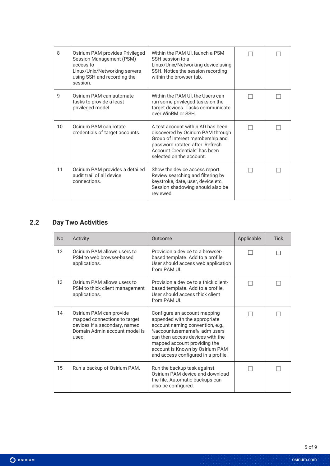| 8               | Osirium PAM provides Privileged<br>Session Management (PSM)<br>access to<br>Linux/Unix/Networking servers<br>using SSH and recording the<br>session. | Within the PAM UI, launch a PSM<br>SSH session to a<br>Linux/Unix/Networking device using<br>SSH. Notice the session recording<br>within the browser tab.                                                  |  |
|-----------------|------------------------------------------------------------------------------------------------------------------------------------------------------|------------------------------------------------------------------------------------------------------------------------------------------------------------------------------------------------------------|--|
| 9               | Osirium PAM can automate<br>tasks to provide a least<br>privileged model.                                                                            | Within the PAM UI, the Users can<br>run some privileged tasks on the<br>target devices. Tasks communicate<br>over WinRM or SSH.                                                                            |  |
| 10 <sup>°</sup> | Osirium PAM can rotate<br>credentials of target accounts.                                                                                            | A test account within AD has been<br>discovered by Osirium PAM through<br>Group of Interest membership and<br>password rotated after 'Refresh<br>Account Credentials' has been<br>selected on the account. |  |
| 11              | Osirium PAM provides a detailed<br>audit trail of all device<br>connections.                                                                         | Show the device access report.<br>Review searching and filtering by<br>keystroke, date, user, device etc.<br>Session shadowing should also be<br>reviewed.                                                 |  |

## **2.2 Day Two Activities**

| No. | Activity                                                                                                                           | Outcome                                                                                                                                                                                                                                                                        | Applicable | <b>Tick</b> |
|-----|------------------------------------------------------------------------------------------------------------------------------------|--------------------------------------------------------------------------------------------------------------------------------------------------------------------------------------------------------------------------------------------------------------------------------|------------|-------------|
| 12  | Osirium PAM allows users to<br>PSM to web browser-based<br>applications.                                                           | Provision a device to a browser-<br>based template. Add to a profile.<br>User should access web application<br>from PAM UI.                                                                                                                                                    |            |             |
| 13  | Osirium PAM allows users to<br>PSM to thick client management<br>applications.                                                     | Provision a device to a thick client-<br>based template. Add to a profile.<br>User should access thick client<br>from PAM UL                                                                                                                                                   |            |             |
| 14  | Osirium PAM can provide<br>mapped connections to target<br>devices if a secondary, named<br>Domain Admin account model is<br>used. | Configure an account mapping<br>appended with the appropriate<br>account naming convention, e.g.,<br>%accountusername%_adm users<br>can then access devices with the<br>mapped account providing the<br>account is Known by Osirium PAM<br>and access configured in a profile. |            |             |
| 15  | Run a backup of Osirium PAM.                                                                                                       | Run the backup task against<br>Osirium PAM device and download<br>the file. Automatic backups can<br>also be configured.                                                                                                                                                       |            |             |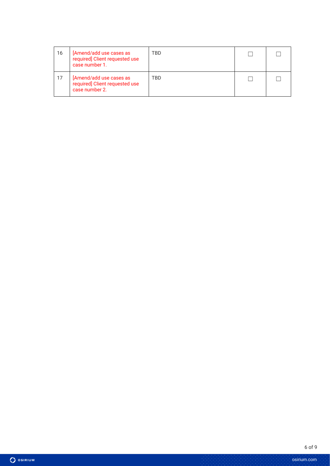| 16 | [Amend/add use cases as<br>required] Client requested use<br>case number 1. | TBD |  |
|----|-----------------------------------------------------------------------------|-----|--|
| 17 | [Amend/add use cases as<br>required] Client requested use<br>case number 2. | TBD |  |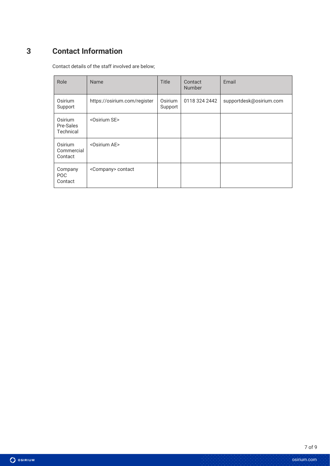## **3 Contact Information**

 $\bullet$  Osirium

Contact details of the staff involved are below;

| Role                              | Name                         | <b>Title</b>       | Contact<br><b>Number</b> | Email                   |
|-----------------------------------|------------------------------|--------------------|--------------------------|-------------------------|
| Osirium<br>Support                | https://osirium.com/register | Osirium<br>Support | 0118 324 2442            | supportdesk@osirium.com |
| Osirium<br>Pre-Sales<br>Technical | <osirium se=""></osirium>    |                    |                          |                         |
| Osirium<br>Commercial<br>Contact  | <osirium ae=""></osirium>    |                    |                          |                         |
| Company<br><b>POC</b><br>Contact  | <company> contact</company>  |                    |                          |                         |

osirium.com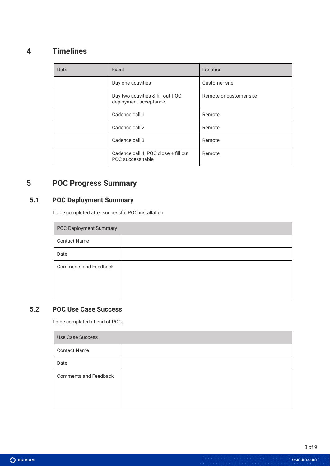## **4 Timelines**

| Date | Event                                                      | Location                |
|------|------------------------------------------------------------|-------------------------|
|      | Day one activities                                         | Customer site           |
|      | Day two activities & fill out POC<br>deployment acceptance | Remote or customer site |
|      | Cadence call 1                                             | Remote                  |
|      | Cadence call 2                                             | Remote                  |
|      | Cadence call 3                                             | Remote                  |
|      | Cadence call 4, POC close + fill out<br>POC success table  | Remote                  |

## **5 POC Progress Summary**

#### **5.1 POC Deployment Summary**

To be completed after successful POC installation.

| <b>POC Deployment Summary</b> |  |  |
|-------------------------------|--|--|
| <b>Contact Name</b>           |  |  |
| Date                          |  |  |
| <b>Comments and Feedback</b>  |  |  |

#### **5.2 POC Use Case Success**

To be completed at end of POC.

| Use Case Success             |  |  |
|------------------------------|--|--|
| <b>Contact Name</b>          |  |  |
| Date                         |  |  |
| <b>Comments and Feedback</b> |  |  |